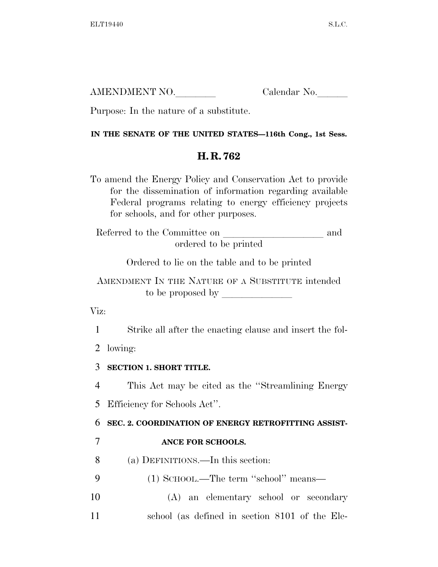| AMENDMENT NO. | Calendar No. |
|---------------|--------------|
|               |              |

Purpose: In the nature of a substitute.

## **IN THE SENATE OF THE UNITED STATES—116th Cong., 1st Sess.**

## **H. R. 762**

To amend the Energy Policy and Conservation Act to provide for the dissemination of information regarding available Federal programs relating to energy efficiency projects for schools, and for other purposes.

Referred to the Committee on and ordered to be printed

Ordered to lie on the table and to be printed

AMENDMENT IN THE NATURE OF A SUBSTITUTE intended to be proposed by  $\overline{\phantom{a}}$ 

Viz:

1 Strike all after the enacting clause and insert the fol-

2 lowing:

3 **SECTION 1. SHORT TITLE.** 

4 This Act may be cited as the ''Streamlining Energy

5 Efficiency for Schools Act''.

6 **SEC. 2. COORDINATION OF ENERGY RETROFITTING ASSIST-**

7 **ANCE FOR SCHOOLS.** 

8 (a) DEFINITIONS.—In this section:

- 9 (1) SCHOOL.—The term ''school'' means—
- 10 (A) an elementary school or secondary 11 school (as defined in section 8101 of the Ele-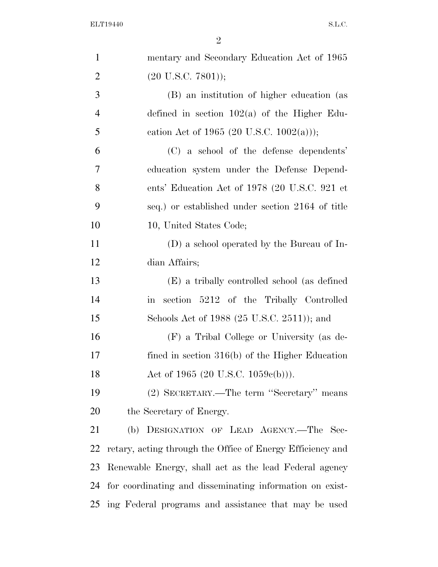| $\mathbf{1}$   | mentary and Secondary Education Act of 1965                    |
|----------------|----------------------------------------------------------------|
| $\overline{2}$ | $(20 \text{ U.S.C. } 7801));$                                  |
| 3              | (B) an institution of higher education (as                     |
| $\overline{4}$ | defined in section $102(a)$ of the Higher Edu-                 |
| 5              | cation Act of 1965 (20 U.S.C. 1002(a)));                       |
| 6              | (C) a school of the defense dependents'                        |
| 7              | education system under the Defense Depend-                     |
| 8              | ents' Education Act of 1978 (20 U.S.C. 921 et                  |
| 9              | seq.) or established under section 2164 of title               |
| 10             | 10, United States Code;                                        |
| 11             | (D) a school operated by the Bureau of In-                     |
| 12             | dian Affairs;                                                  |
| 13             | (E) a tribally controlled school (as defined                   |
| 14             | section 5212 of the Tribally Controlled<br>$\operatorname{in}$ |
| 15             | Schools Act of 1988 (25 U.S.C. 2511)); and                     |
| 16             | (F) a Tribal College or University (as de-                     |
| 17             | fined in section $316(b)$ of the Higher Education              |
| 18             | Act of 1965 (20 U.S.C. 1059 $e(b)$ )).                         |
| 19             | (2) SECRETARY.—The term "Secretary" means                      |
| 20             | the Secretary of Energy.                                       |
| 21             | (b) DESIGNATION OF LEAD AGENCY.—The Sec-                       |
| 22             | retary, acting through the Office of Energy Efficiency and     |
| 23             | Renewable Energy, shall act as the lead Federal agency         |
| 24             | for coordinating and disseminating information on exist-       |
| 25             | ing Federal programs and assistance that may be used           |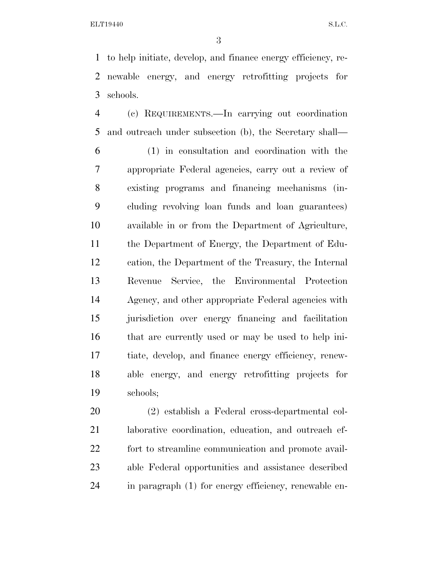to help initiate, develop, and finance energy efficiency, re- newable energy, and energy retrofitting projects for schools.

 (c) REQUIREMENTS.—In carrying out coordination and outreach under subsection (b), the Secretary shall—

 (1) in consultation and coordination with the appropriate Federal agencies, carry out a review of existing programs and financing mechanisms (in- cluding revolving loan funds and loan guarantees) available in or from the Department of Agriculture, the Department of Energy, the Department of Edu- cation, the Department of the Treasury, the Internal Revenue Service, the Environmental Protection Agency, and other appropriate Federal agencies with jurisdiction over energy financing and facilitation that are currently used or may be used to help ini- tiate, develop, and finance energy efficiency, renew- able energy, and energy retrofitting projects for schools;

 (2) establish a Federal cross-departmental col- laborative coordination, education, and outreach ef- fort to streamline communication and promote avail- able Federal opportunities and assistance described in paragraph (1) for energy efficiency, renewable en-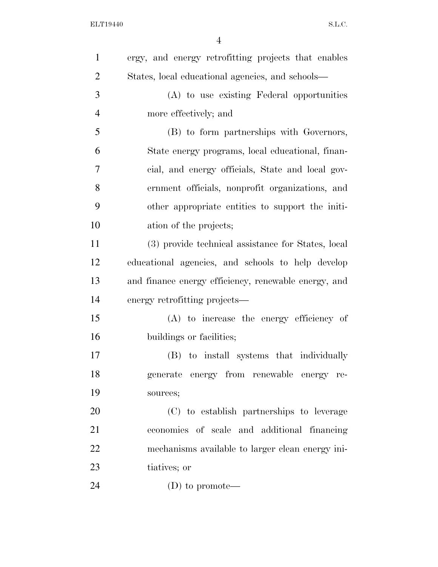| $\mathbf{1}$   | ergy, and energy retrofitting projects that enables  |
|----------------|------------------------------------------------------|
| $\overline{2}$ | States, local educational agencies, and schools—     |
| 3              | (A) to use existing Federal opportunities            |
| $\overline{4}$ | more effectively; and                                |
| 5              | (B) to form partnerships with Governors,             |
| 6              | State energy programs, local educational, finan-     |
| 7              | cial, and energy officials, State and local gov-     |
| 8              | ernment officials, nonprofit organizations, and      |
| 9              | other appropriate entities to support the initi-     |
| 10             | ation of the projects;                               |
| 11             | (3) provide technical assistance for States, local   |
| 12             | educational agencies, and schools to help develop    |
| 13             | and finance energy efficiency, renewable energy, and |
| 14             | energy retrofitting projects—                        |
| 15             | (A) to increase the energy efficiency of             |
| 16             | buildings or facilities;                             |
| 17             | (B) to install systems that individually             |
| 18             | generate energy from renewable energy re-            |
| 19             | sources;                                             |
| 20             | (C) to establish partnerships to leverage            |
| 21             | economies of scale and additional financing          |
| 22             | mechanisms available to larger clean energy ini-     |
| 23             | tiatives; or                                         |
| 24             | $(D)$ to promote—                                    |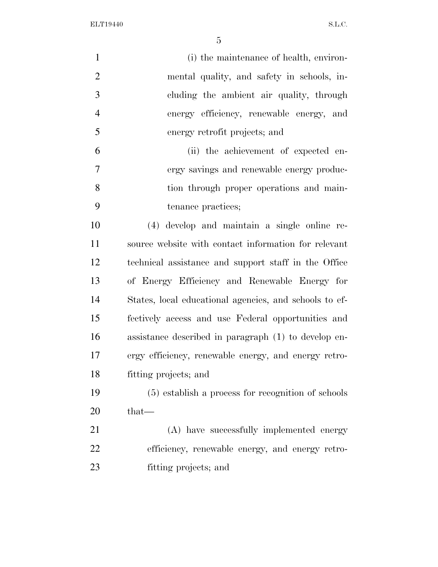ELT19440 S.L.C.

| $\mathbf{1}$   | (i) the maintenance of health, environ-                |
|----------------|--------------------------------------------------------|
| $\overline{2}$ | mental quality, and safety in schools, in-             |
| 3              | cluding the ambient air quality, through               |
| $\overline{4}$ | energy efficiency, renewable energy, and               |
| 5              | energy retrofit projects; and                          |
| 6              | (ii) the achievement of expected en-                   |
| $\overline{7}$ | ergy savings and renewable energy produc-              |
| 8              | tion through proper operations and main-               |
| 9              | tenance practices;                                     |
| 10             | (4) develop and maintain a single online re-           |
| 11             | source website with contact information for relevant   |
| 12             | technical assistance and support staff in the Office   |
| 13             | of Energy Efficiency and Renewable Energy for          |
| 14             | States, local educational agencies, and schools to ef- |
| 15             | fectively access and use Federal opportunities and     |
| 16             | assistance described in paragraph (1) to develop en-   |
| 17             | ergy efficiency, renewable energy, and energy retro-   |
| 18             | fitting projects; and                                  |
| 19             | (5) establish a process for recognition of schools     |
| 20             | that—                                                  |
| 21             | (A) have successfully implemented energy               |
| 22             | efficiency, renewable energy, and energy retro-        |
| 23             | fitting projects; and                                  |